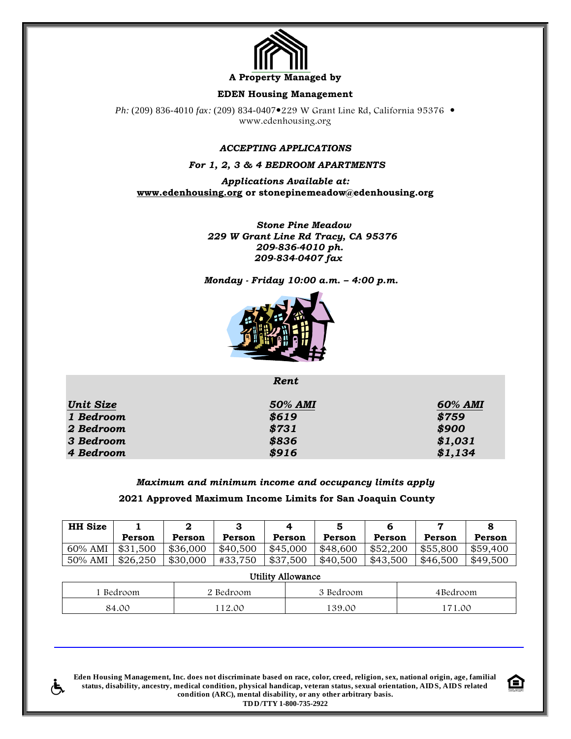

**A Property Managed by** 

### **EDEN Housing Management**

*Ph:* (209) 836-4010 *fax:* (209) 834-0407 • 229 W Grant Line Rd, California 95376 • www.edenhousing.org

## *ACCEPTING APPLICATIONS*

*For 1, 2, 3 & 4 BEDROOM APARTMENTS*

*Applications Available at:* **[www.edenhousing.org](http://www.edenhousing.org/) or stonepinemeadow@edenhousing.org**

> *Stone Pine Meadow 229 W Grant Line Rd Tracy, CA 95376 209-836-4010 ph. 209-834-0407 fax*

 *Monday - Friday 10:00 a.m. – 4:00 p.m.*



*Rent*

| <b>Unit Size</b> | 50% AMI | 60% AMI |
|------------------|---------|---------|
| 1 Bedroom        | \$619   | \$759   |
| 2 Bedroom        | \$731   | \$900   |
| 3 Bedroom        | \$836   | \$1,031 |
| 4 Bedroom        | \$916   | \$1,134 |

## *Maximum and minimum income and occupancy limits apply* **2021 Approved Maximum Income Limits for San Joaquin County**

| <b>HH</b> Size |          |          |          |          |          |          |          |          |
|----------------|----------|----------|----------|----------|----------|----------|----------|----------|
|                | Person   | Person   | Person   | Person   | Person   | Person   | Person   | Person   |
| 60% AMI        | \$31,500 | \$36,000 | \$40,500 | \$45,000 | \$48,600 | \$52,200 | \$55,800 | \$59,400 |
| 50% AMI        | \$26,250 | \$30,000 | #33.750  | \$37,500 | \$40,500 | \$43,500 | \$46,500 | \$49,500 |

| Utility Allowance |           |           |          |  |  |
|-------------------|-----------|-----------|----------|--|--|
| l Bedroom         | 2 Bedroom | 3 Bedroom | 4Bedroom |  |  |
| 84.00             | 112.00    | 139.00    | 171.00   |  |  |

**Eden Housing Management, Inc. does not discriminate based on race, color, creed, religion, sex, national origin, age, familial status, disability, ancestry, medical condition, physical handicap, veteran status, sexual orientation, AIDS, AIDS related condition (ARC), mental disability, or any other arbitrary basis. TDD/TTY 1-800-735-2922**

Æ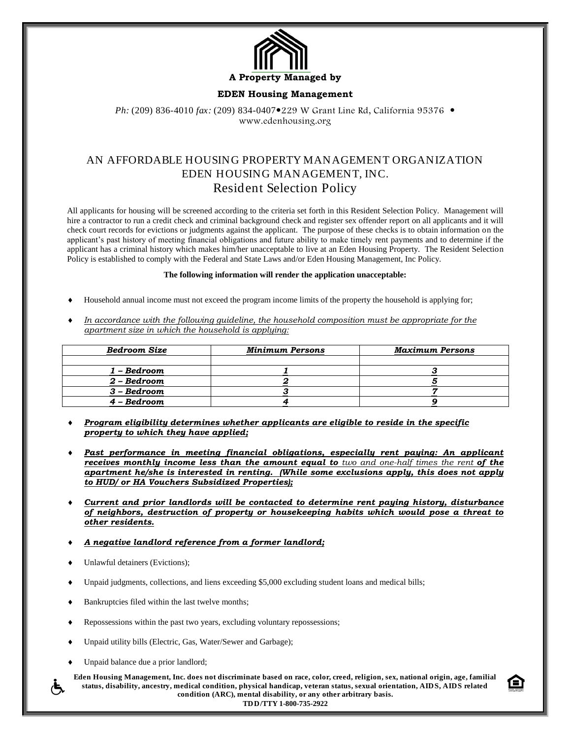

### **EDEN Housing Management**

*Ph:* (209) 836-4010 *fax:* (209) 834-0407 • 229 W Grant Line Rd, California 95376 • www.edenhousing.org

# AN AFFORDABLE HOUSING PROPERTY MANAGEMENT ORGANIZATION EDEN HOUSING MANAGEMENT, INC. Resident Selection Policy

All applicants for housing will be screened according to the criteria set forth in this Resident Selection Policy. Management will hire a contractor to run a credit check and criminal background check and register sex offender report on all applicants and it will check court records for evictions or judgments against the applicant. The purpose of these checks is to obtain information on the applicant's past history of meeting financial obligations and future ability to make timely rent payments and to determine if the applicant has a criminal history which makes him/her unacceptable to live at an Eden Housing Property. The Resident Selection Policy is established to comply with the Federal and State Laws and/or Eden Housing Management, Inc Policy.

#### **The following information will render the application unacceptable:**

- Household annual income must not exceed the program income limits of the property the household is applying for;
- *In accordance with the following guideline, the household composition must be appropriate for the apartment size in which the household is applying:*

| Bedroom Size | <b>Minimum Persons</b> | <b>Maximum Persons</b> |
|--------------|------------------------|------------------------|
|              |                        |                        |
| 1 – Bedroom  |                        |                        |
| 2 – Bedroom  |                        |                        |
| 3 – Bedroom  |                        |                        |
| – Bedroom    |                        |                        |

- *Program eligibility determines whether applicants are eligible to reside in the specific property to which they have applied;*
- *Past performance in meeting financial obligations, especially rent paying: An applicant receives monthly income less than the amount equal to two and one-half times the rent of the apartment he/she is interested in renting. (While some exclusions apply, this does not apply to HUD/ or HA Vouchers Subsidized Properties);*
- *Current and prior landlords will be contacted to determine rent paying history, disturbance of neighbors, destruction of property or housekeeping habits which would pose a threat to other residents.*
- *A negative landlord reference from a former landlord;*
- Unlawful detainers (Evictions);
- Unpaid judgments, collections, and liens exceeding \$5,000 excluding student loans and medical bills;
- Bankruptcies filed within the last twelve months;
- Repossessions within the past two years, excluding voluntary repossessions;
- Unpaid utility bills (Electric, Gas, Water/Sewer and Garbage);
- Unpaid balance due a prior landlord;

**Eden Housing Management, Inc. does not discriminate based on race, color, creed, religion, sex, national origin, age, familial status, disability, ancestry, medical condition, physical handicap, veteran status, sexual orientation, AIDS, AIDS related condition (ARC), mental disability, or any other arbitrary basis.**

**TDD/TTY 1-800-735-2922**